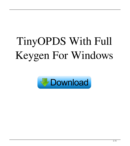# TinyOPDS With Full Keygen For Windows

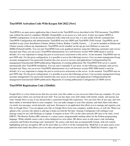## **TinyOPDS Activation Code With Keygen X64 2022 [New]**

TinyOPDS is an open source application that is based on the TinyODPS server described in the TOS document. TinyOPDS runs without the need of a database (MySQL, PostgreSQL) or an access to a web server. It does not require ODPS or XOPSD configuration. It can be used in connection with a http web server but, it is also usable with the command line. TinyOPDS Configuration and administration: TinyOPDS uses the ODPS and TinyODPS (TOS) format. TinyOPDS can be installed on any Linux distribution (Ubuntu, Debian, Fedora, Redhat, CentOS, Gentoo, …). It can be installed on Debian and Ubuntu systems without any dependencies. TinyOPDS can be installed via the apt-get tool (Debian) or yum tool (RHEL/Fedora/CentOS). You can start TinyOPDS from your graphical interface using the following command: sudo service tinyopsd start Then, you can access TinyOPDS administration via a web browser on port 9999 (SSH tunnel is used by default). It is very important to change the port to avoid access restrictions to this server. At the moment, TinyOPDS runs on port 9999 only. For the given configuration, it is possible to access the following services: User accounts management Group accounts management User passwords Grant/revoke user access to services and applications Configuration/log file management Generate/edit ODPS publications Migrations of existing publications The TinyOPDS Web server is started automatically after TinyOPDS installation. You can start it manually if you need, via the following command: sudo service tinyopsd start Then, you can access TinyOPDS administration via a web browser on port 9999 (SSH tunnel is used by default). It is very important to change the port to avoid access restrictions to this server. At the moment, TinyOPDS runs on port 9999 only. For the given configuration, it is possible to access the following services: User accounts management Group accounts management User passwords Grant/revoke user access to services and applications Configuration/log file management Generate/edit ODPS publications Migrations of existing publications Configuration of ODPS servers

### **TinyOPDS Registration Code [32|64bit]**

Google Drive is a free cloud service that lets you store your files online so you can access them from any computer. It's your personal space where you can keep all your stuff. You can also share your stuff online with friends, family, and anyone you want. Google Drive is easy to use and provides a consistent Google-like experience. You can store files of any type, and view them online or download them to your computer. You can make changes to your files anytime, and share them with others via email, text messages, social networks, and more. Keymacro is an application that allows you to manage and organize your files in Google Drive. You can upload your files to Google Drive from your computer, mobile device, or web site. When you upload a file, you have the option to add tags to help you find the file later. Synergy Configurator will configure your Synergy setup for use with Desktops or Laptops. It requires at least 3 PCs on the same network (IPs have to be static, avoid DHCP). The Bracket Python (BP) software is a syntax-aware, programmable markup editor for the Python programming language. While editable source code is often displayed in a text editor, BP allows users to edit source code (including comments and Python docstrings) and "prettyprint" the source code back into an interpretable format, with rich content highlighting and easy navigation. BP can be used either as a GUI or on the command line. MailClick is an open source crossplatform mail reader that allows you to set rules and perform actions on your mail (see the "MailClick Features" page for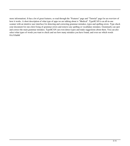more information). It has a lot of great features, so read through the "Features" page and "Tutorial" page for an overview of how it works. A short description of what type of apps we are talking about is "Medical". TypoSCAN is an all-in-one scanner with an intuitive user interface for detecting and correcting grammar mistakes, typos and spelling errors. Type check your document for one-click fixing of grammar errors and remove any spelling or vocabulary mistakes. Grammarly can spot and correct the main grammar mistakes. TypoSCAN can even detect typos and make suggestions about them. You can also select what types of words you want to check and see how many mistakes you have found, and even see which words 81e310abbf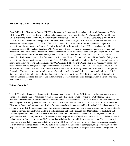## **TinyOPDS Crack+ Activation Key**

Open Publication Distribution System (OPDS) is the standard format used for publishing electronic books on the Web. OPDS is an XML-based specification and is totally independent of the Open Catalog Web Service (OCW) used by the OPDS publishing system TinyOPDS. Version: \$Id: tinyopds.py 3515 2007-01-25 11:42:00Z yong.wang \$ ABSTRACT TinyOPDS is a handy and reliable application designed to create and configure ODPS servers. It does not require a web server or a database engine. I. DESCRIPTION 1.1. Documentation Please refer to the "Usage Guide" chapter for instructions on how to use this software. 1.2. Quick Start Guide A. Introduction TinyOPDS is a handy and reliable application designed to create and configure ODPS servers. It does not require a web server or a database engine. 1.2.1. Installation Please refer to the "Installation" chapter for instructions on how to install and configure TinyOPDS. 1.2.2. Data Management Please refer to the "Data Management" chapter for instructions on how to import and export data, data conversion, backup and restore. 1.2.3. Command Line Interface Please refer to the "Command Line Interface" chapter for instructions on how to use the command line interface. 1.2.4. Configuration Please refer to the "Configuration" chapter for instructions on how to create and configure a new ODPS server. 1.2.5. Security Please refer to the "Security" chapter for instructions on how to configure the application security. 2. SOFTWARE FEATURES 2.1. XML-Based TinyOPDS is an XML-based application. The application uses the XML-based standard. It is easy to use and implement. 2.1.1. Simple and Convenient This application has a simple user interface, which makes the application easy to use and understand. 2.1.2. Short and Quick This application is short and quick, therefore it is easy to use. 2.1.3. Efficient and Fast This application is efficient and fast, therefore it is easy to use and implement. 2.1.4. Flexible and Rich This application is flexible and rich, therefore it is easy to use

### **What's New In?**

TinyOPDS is a handy and reliable application designed to create and configure ODPS servers. It does not require a web server or a database engine. Publishers, websites, blogs and other online service provider use ODPS format (Open Publication Distribution System) to publish and distribute their website content. ODPS is an XML-based open standard for publishing and distributing electronic books and other information over the Internet. ODPS is short for Open Publication Distribution System and refers to a syndication format that deals with electronic publications (books). Syndication provides a framework for distributing content among the various media used to communicate it, making it possible for that content to be used in new and different ways. ODPS is a technical specification of standards-based technology for publishing and distributing electronic publications. ODPS is compatible with the other relevant standards in this area, such as RSS (for syndication of web content) and Atom (for the standard of the publication of syndicated content). For a publisher to use this technology, they first need to buy an ODPS server that will allow them to publish their content online. Their content will be organized in a way that is made available to users by the ODPS server. The user will use a suitable browser, and the data is delivered via the Internet. Thanks to ODPS, publishers can easily include links to other pages, images, videos, audio files, blog posts, etc. on their website. TinyODPS is a small but very handy application designed to create and configure ODPS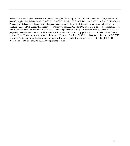servers. It does not require a web server or a database engine. It is a tiny version of ODPS Creator Pro, a larger and more powerful application. What's New in TinyODPS: TinyODPS Version 2.3.2: ODPS Creator Pro Version 2.3.1 ODPS Creator Pro is a powerful and reliable application designed to create and configure ODPS servers. It requires a web server or a database engine. ODPS Creator Pro Features: 1. Works with both ADP and MySQL databases 2. Imports books from a local library or a file saved in a computer 3. Manages content and publication settings 4. Generates XML 5. Shows the status of a project 6. Generates menu bar and toolbar icons 7. Allows navigation from any page 8. Allows book to be created from an existing file 9. Allows a website to be created for a specific topic 10. Allows RSS 2.0 syndication 11. Supports the DDWRT firmware 12. Supports websites that were developed with various popular frameworks, such as ASP.NET, J2EE, PHP, Python, Perl, Ruby on Rails, etc. 13. Allows uploading of files